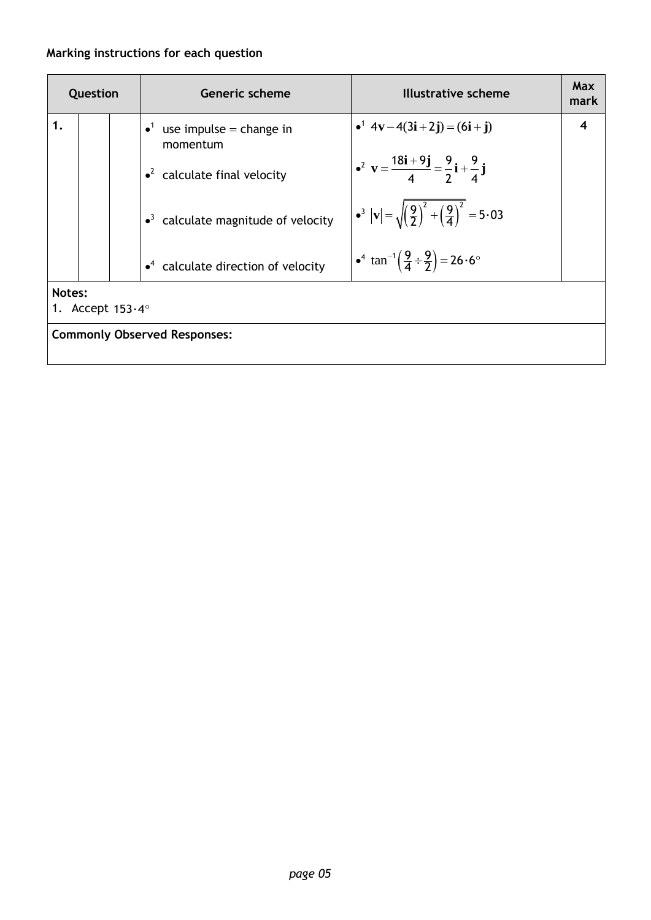## **Marking instructions for each question**

| Question |                                     |  | <b>Generic scheme</b>                                      | Illustrative scheme                                                                           | <b>Max</b><br>mark |  |  |  |
|----------|-------------------------------------|--|------------------------------------------------------------|-----------------------------------------------------------------------------------------------|--------------------|--|--|--|
| 1.       |                                     |  | $\bullet$ <sup>1</sup> use impulse = change in<br>momentum | • <sup>1</sup> $4v-4(3i+2j) = (6i+j)$                                                         | 4                  |  |  |  |
|          |                                     |  | $\cdot^2$ calculate final velocity                         | $\bullet^2$ v = $\frac{18i+9j}{4} = \frac{9}{2}i + \frac{9}{4}j$                              |                    |  |  |  |
|          |                                     |  | $\bullet^3$ calculate magnitude of velocity                | $ \bullet^3 {\bf v}  = \sqrt{\left(\frac{9}{2}\right)^2 + \left(\frac{9}{4}\right)^2} = 5.03$ |                    |  |  |  |
|          |                                     |  | $\cdot$ <sup>4</sup> calculate direction of velocity       | $\int_0^4 \tan^{-1} \left( \frac{9}{4} \div \frac{9}{2} \right) = 26.6^\circ$                 |                    |  |  |  |
|          | Notes:<br>1. Accept $153.4^\circ$   |  |                                                            |                                                                                               |                    |  |  |  |
|          | <b>Commonly Observed Responses:</b> |  |                                                            |                                                                                               |                    |  |  |  |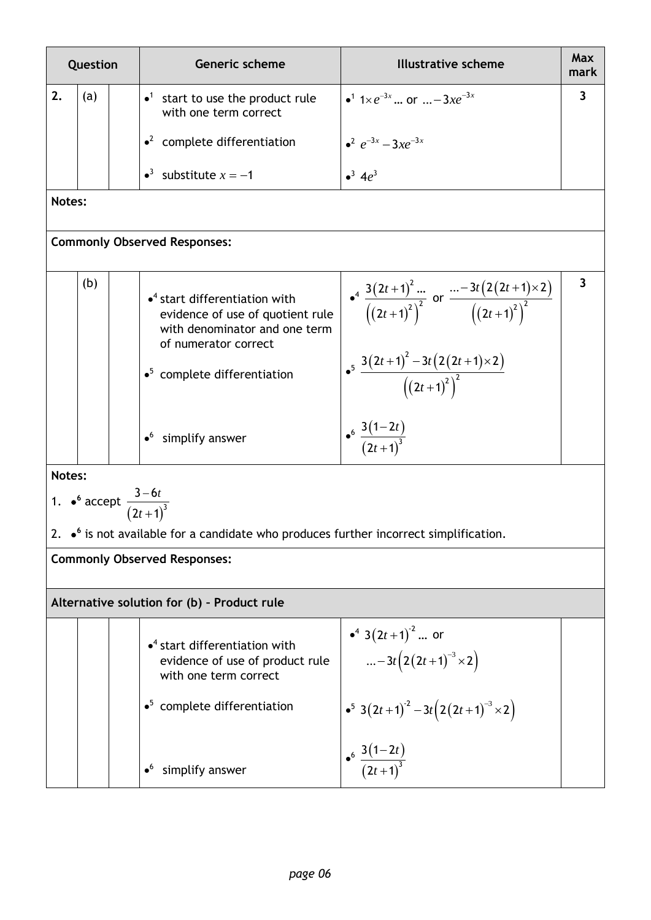| Question |     | <b>Generic scheme</b>                                                                                                                          | <b>Illustrative scheme</b>                                                                      | <b>Max</b><br>mark      |
|----------|-----|------------------------------------------------------------------------------------------------------------------------------------------------|-------------------------------------------------------------------------------------------------|-------------------------|
| 2.       | (a) | $\bullet^1$<br>start to use the product rule<br>with one term correct                                                                          | • <sup>1</sup> 1× $e^{-3x}$ or $m-3xe^{-3x}$                                                    | 3                       |
|          |     | $\cdot^2$ complete differentiation                                                                                                             | $e^2 e^{-3x} - 3xe^{-3x}$                                                                       |                         |
|          |     | • <sup>3</sup> substitute $x = -1$                                                                                                             | $^{3} 4\rho^{3}$                                                                                |                         |
| Notes:   |     |                                                                                                                                                |                                                                                                 |                         |
|          |     | <b>Commonly Observed Responses:</b>                                                                                                            |                                                                                                 |                         |
|          | (b) | $\bullet$ <sup>4</sup> start differentiation with<br>evidence of use of quotient rule<br>with denominator and one term<br>of numerator correct | $\int_{0}^{4} \frac{3(2t+1)^2 }{((2t+1)^2)^2}$ or $\frac{(-3t(2(2t+1)\times 2))}{((2t+1)^2)^2}$ | $\overline{\mathbf{3}}$ |
|          |     | $\bullet^5$ complete differentiation                                                                                                           | $\bullet^5 \frac{3(2t+1)^2-3t(2(2t+1)\times 2)}{(2t+1)^2}$                                      |                         |
|          |     | $\bullet^6$ simplify answer                                                                                                                    | $\begin{array}{c} \n\cdot \frac{3(1-2t)}{(2t+1)^3}\n\end{array}$                                |                         |
| Notes:   |     |                                                                                                                                                |                                                                                                 |                         |
|          |     | 1. • accept $\frac{3 - 6t}{(2t + 1)^3}$                                                                                                        |                                                                                                 |                         |
|          |     | 2. $\bullet$ <sup>6</sup> is not available for a candidate who produces further incorrect simplification.                                      |                                                                                                 |                         |
|          |     | <b>Commonly Observed Responses:</b>                                                                                                            |                                                                                                 |                         |
|          |     | Alternative solution for (b) - Product rule                                                                                                    |                                                                                                 |                         |
|          |     | $\bullet$ <sup>4</sup> start differentiation with<br>evidence of use of product rule<br>with one term correct                                  | • $3(2t+1)^2$ or<br>$-3t(2(2t+1)^{-3} \times 2)$                                                |                         |
|          |     | $\bullet^5$ complete differentiation                                                                                                           | $\bullet^5$ 3(2t+1) <sup>-2</sup> - 3t(2(2t+1) <sup>-3</sup> × 2)                               |                         |
|          |     | simplify answer                                                                                                                                | $\frac{3(1-2t)}{(2t+1)^3}$                                                                      |                         |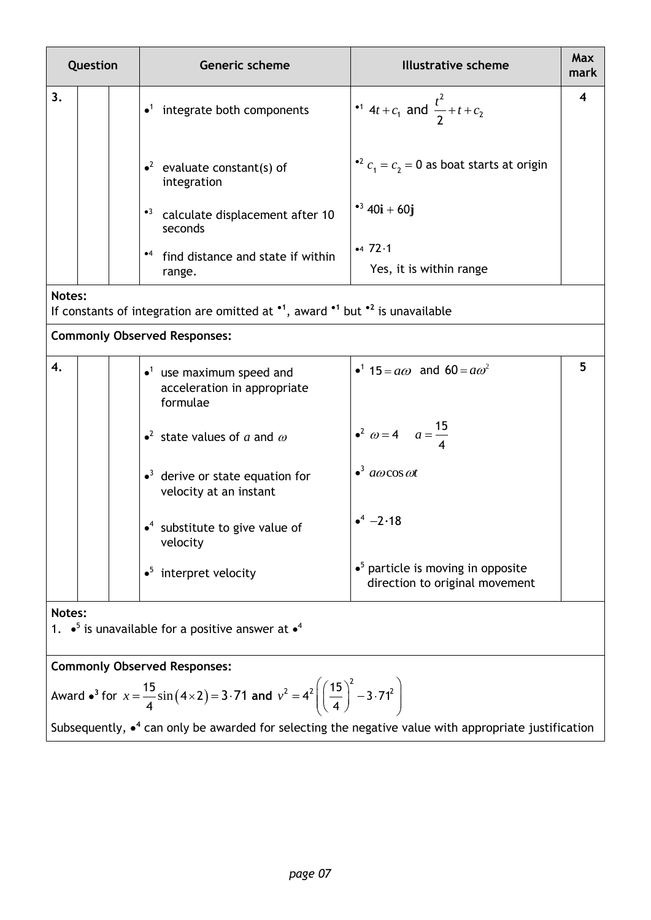| Question |  | Generic scheme                                                                                                                       | <b>Illustrative scheme</b>                                                   | Max<br>mark      |
|----------|--|--------------------------------------------------------------------------------------------------------------------------------------|------------------------------------------------------------------------------|------------------|
| 3.       |  | $\bullet$ <sup>1</sup> integrate both components                                                                                     | •1 4t + $c_1$ and $\frac{t^2}{2}$ + t + $c_2$                                | $\boldsymbol{4}$ |
|          |  | $\cdot^2$ evaluate constant(s) of<br>integration                                                                                     | • $c_1 = c_2 = 0$ as boat starts at origin                                   |                  |
|          |  | * <sup>3</sup> calculate displacement after 10<br>seconds                                                                            | • <sup>3</sup> 40 <b>i</b> + 60 <b>j</b>                                     |                  |
|          |  | *4 find distance and state if within<br>range.                                                                                       | $-472.1$<br>Yes, it is within range                                          |                  |
| Notes:   |  | If constants of integration are omitted at $\cdot$ <sup>1</sup> , award $\cdot$ <sup>1</sup> but $\cdot$ <sup>2</sup> is unavailable |                                                                              |                  |
|          |  | <b>Commonly Observed Responses:</b>                                                                                                  |                                                                              |                  |
| 4.       |  | $\bullet$ <sup>1</sup> use maximum speed and<br>acceleration in appropriate<br>formulae                                              | • <sup>1</sup> 15 = $a\omega$ and 60 = $a\omega^2$                           | 5                |
|          |  | • <sup>2</sup> state values of a and $\omega$                                                                                        | • <sup>2</sup> $\omega = 4$ $a = \frac{15}{4}$                               |                  |
|          |  | $\bullet$ <sup>3</sup> derive or state equation for<br>velocity at an instant                                                        | $\bullet^3$ acocos of                                                        |                  |
|          |  | $\bullet$ <sup>4</sup> substitute to give value of<br>velocity                                                                       | $-2.18$                                                                      |                  |
|          |  | $\bullet^5$ interpret velocity                                                                                                       | $\bullet^5$ particle is moving in opposite<br>direction to original movement |                  |
| Notes:   |  | 1. $\bullet^5$ is unavailable for a positive answer at $\bullet^4$                                                                   |                                                                              |                  |

**Commonly Observed Responses:**

$$
4\text{ward} \cdot \text{ar} \cdot \text{ar} \cdot x = \frac{15}{4} \sin (4 \times 2) = 3.71 \text{ and } v^2 = 4^2 \left( \left( \frac{15}{4} \right)^2 - 3.71^2 \right)
$$

Subsequently,  $\bullet^4$  can only be awarded for selecting the negative value with appropriate justification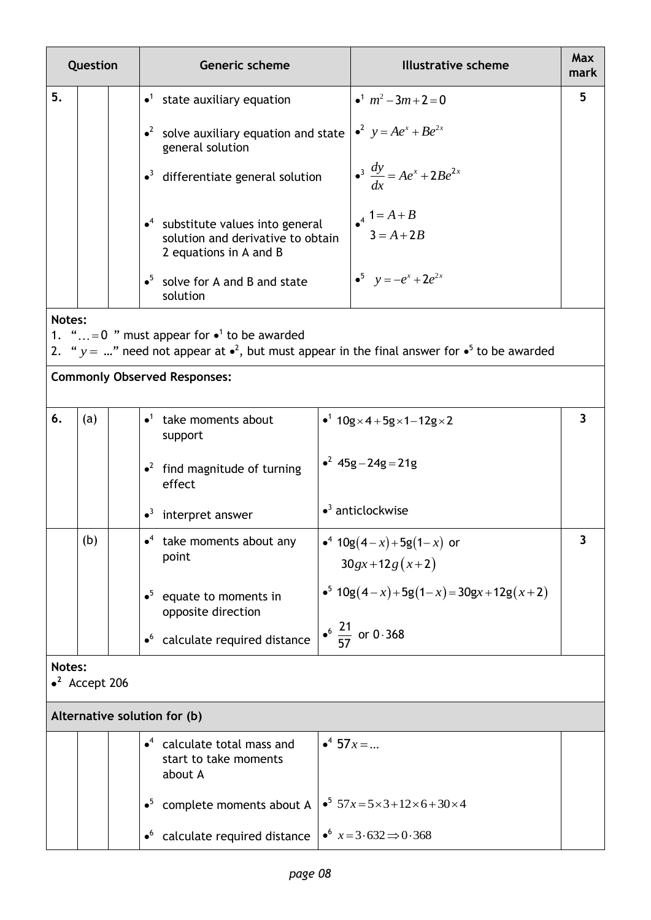| Question |                        | <b>Generic scheme</b>                                                                                              |                       | <b>Illustrative scheme</b>                                                                           | <b>Max</b><br>mark      |
|----------|------------------------|--------------------------------------------------------------------------------------------------------------------|-----------------------|------------------------------------------------------------------------------------------------------|-------------------------|
| 5.       |                        | $\bullet$ <sup>1</sup> state auxiliary equation                                                                    |                       | • <sup>1</sup> $m^2$ – 3 $m+2=0$                                                                     | 5                       |
|          |                        | $\cdot^2$ solve auxiliary equation and state<br>general solution                                                   |                       | $\int_0^2 y = Ae^x + Be^{2x}$                                                                        |                         |
|          |                        | $\bullet$ <sup>3</sup> differentiate general solution                                                              |                       | $\bullet^3 \frac{dy}{dx} = Ae^x + 2Be^{2x}$                                                          |                         |
|          |                        | $\cdot$ <sup>4</sup> substitute values into general<br>solution and derivative to obtain<br>2 equations in A and B |                       | $A^4 = A + B$<br>$3 = A + 2B$                                                                        |                         |
|          |                        | $\bullet^5$ solve for A and B and state<br>solution                                                                |                       | • <sup>5</sup> $y = -e^x + 2e^{2x}$                                                                  |                         |
| Notes:   |                        |                                                                                                                    |                       |                                                                                                      |                         |
|          |                        | 1. "= 0 " must appear for $\bullet$ <sup>1</sup> to be awarded                                                     |                       | 2. " $y = $ " need not appear at $e^2$ , but must appear in the final answer for $e^5$ to be awarded |                         |
|          |                        | <b>Commonly Observed Responses:</b>                                                                                |                       |                                                                                                      |                         |
| 6.       | (a)                    | $\bullet$ <sup>1</sup> take moments about<br>support                                                               |                       | • <sup>1</sup> $10g \times 4 + 5g \times 1 - 12g \times 2$                                           | $\overline{\mathbf{3}}$ |
|          |                        | $\cdot^2$ find magnitude of turning<br>effect                                                                      |                       | $^2$ 45g - 24g = 21g                                                                                 |                         |
|          |                        | $\bullet$ <sup>3</sup> interpret answer                                                                            |                       | $\bullet$ <sup>3</sup> anticlockwise                                                                 |                         |
|          | (b)                    | $\bullet^4$ take moments about any<br>point                                                                        |                       | • <sup>4</sup> $10g(4-x) + 5g(1-x)$ or<br>$30gx + 12g(x+2)$                                          | 3                       |
|          |                        | $\bullet^5$<br>equate to moments in<br>opposite direction                                                          |                       | • <sup>5</sup> $10g(4-x) + 5g(1-x) = 30gx + 12g(x+2)$                                                |                         |
|          |                        | calculate required distance<br>$\bullet^6$                                                                         |                       | • $\frac{21}{57}$ or 0.368                                                                           |                         |
| Notes:   | $\bullet^2$ Accept 206 |                                                                                                                    |                       |                                                                                                      |                         |
|          |                        | Alternative solution for (b)                                                                                       |                       |                                                                                                      |                         |
|          |                        | $\bullet$ <sup>4</sup> calculate total mass and<br>start to take moments<br>about A                                | $\bullet^4$ 57 $x = $ |                                                                                                      |                         |
|          |                        | $\bullet^5$ complete moments about A                                                                               |                       | $\cdot$ <sup>5</sup> 57x=5×3+12×6+30×4                                                               |                         |
|          |                        | calculate required distance<br>$\bullet^6$                                                                         |                       | $\bullet^6$ $x = 3.632 \implies 0.368$                                                               |                         |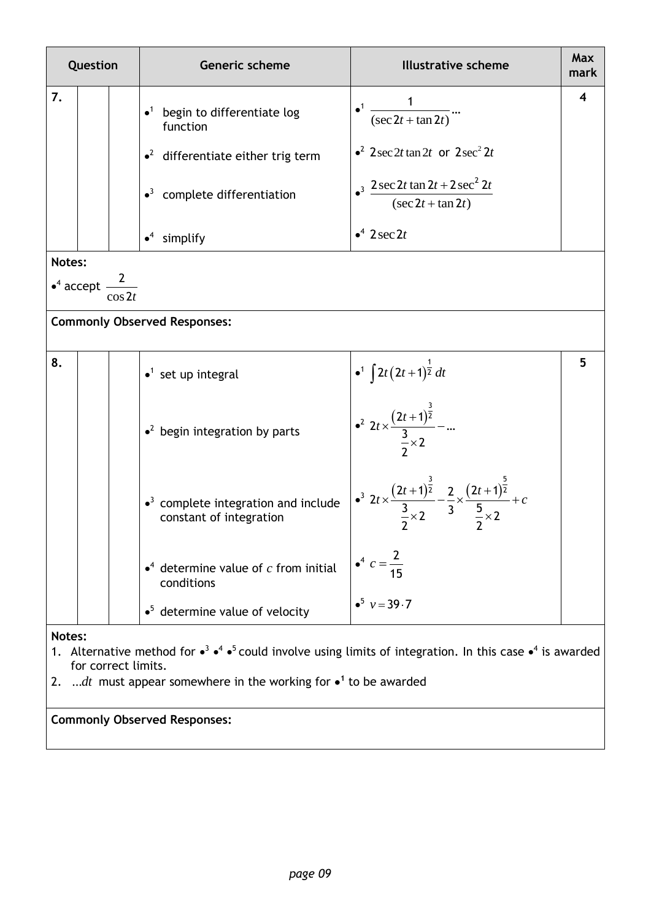| Question |                                                                                                                                                                                                                                                               |                                           | Generic scheme                                                                     | <b>Illustrative scheme</b>                                                                                                                                  | <b>Max</b><br>mark |  |  |  |
|----------|---------------------------------------------------------------------------------------------------------------------------------------------------------------------------------------------------------------------------------------------------------------|-------------------------------------------|------------------------------------------------------------------------------------|-------------------------------------------------------------------------------------------------------------------------------------------------------------|--------------------|--|--|--|
| 7.       |                                                                                                                                                                                                                                                               |                                           | begin to differentiate log<br>function                                             | $\bullet$ <sup>1</sup> $\frac{1}{(\sec 2t + \tan 2t)}$                                                                                                      | 4                  |  |  |  |
|          |                                                                                                                                                                                                                                                               |                                           | $\cdot^2$ differentiate either trig term                                           | $\cdot^2$ 2 sec 2t tan 2t or 2 sec <sup>2</sup> 2t                                                                                                          |                    |  |  |  |
|          |                                                                                                                                                                                                                                                               |                                           | $\bullet$ <sup>3</sup> complete differentiation                                    | <sup>3</sup> $\frac{2 \sec 2t \tan 2t + 2 \sec^2 2t}{(\sec 2t + \tan 2t)}$                                                                                  |                    |  |  |  |
|          |                                                                                                                                                                                                                                                               |                                           | $\bullet^4$ simplify                                                               | $\bullet^4$ 2 sec 2t                                                                                                                                        |                    |  |  |  |
| Notes:   |                                                                                                                                                                                                                                                               |                                           |                                                                                    |                                                                                                                                                             |                    |  |  |  |
|          |                                                                                                                                                                                                                                                               | • <sup>4</sup> accept $\frac{2}{\cos 2t}$ |                                                                                    |                                                                                                                                                             |                    |  |  |  |
|          |                                                                                                                                                                                                                                                               |                                           | <b>Commonly Observed Responses:</b>                                                |                                                                                                                                                             |                    |  |  |  |
|          |                                                                                                                                                                                                                                                               |                                           |                                                                                    |                                                                                                                                                             |                    |  |  |  |
| 8.       |                                                                                                                                                                                                                                                               |                                           | $\bullet$ <sup>1</sup> set up integral                                             |                                                                                                                                                             | 5                  |  |  |  |
|          |                                                                                                                                                                                                                                                               |                                           | $\cdot^2$ begin integration by parts                                               | $\begin{array}{c}\n\bullet^1 \int 2t (2t+1)^{\frac{1}{2}} dt \\ \bullet^2 2t \times \frac{(2t+1)^{\frac{3}{2}}}{\frac{3}{2} \times 2} - \dots\n\end{array}$ |                    |  |  |  |
|          |                                                                                                                                                                                                                                                               |                                           | $\bullet$ <sup>3</sup> complete integration and include<br>constant of integration | $\int_0^3 2t \times \frac{(2t+1)^{\frac{3}{2}}}{\frac{3}{2}} - \frac{2}{3} \times \frac{(2t+1)^{\frac{5}{2}}}{\frac{5}{2}} + c$                             |                    |  |  |  |
|          |                                                                                                                                                                                                                                                               |                                           | $\bullet^4$ determine value of c from initial<br>conditions                        |                                                                                                                                                             |                    |  |  |  |
|          |                                                                                                                                                                                                                                                               |                                           | $\bullet^5$ determine value of velocity                                            | $\bullet^5$ $v = 39.7$                                                                                                                                      |                    |  |  |  |
|          | Notes:<br>1. Alternative method for $\bullet^3 \bullet^4 \bullet^5$ could involve using limits of integration. In this case $\bullet^4$ is awarded<br>for correct limits.<br>dt must appear somewhere in the working for $\bullet$ <sup>1</sup> to be awarded |                                           |                                                                                    |                                                                                                                                                             |                    |  |  |  |

2. ... $dt$  must appear somewhere in the working for  $\bullet$ <sup>1</sup> to be awarded

**Commonly Observed Responses:**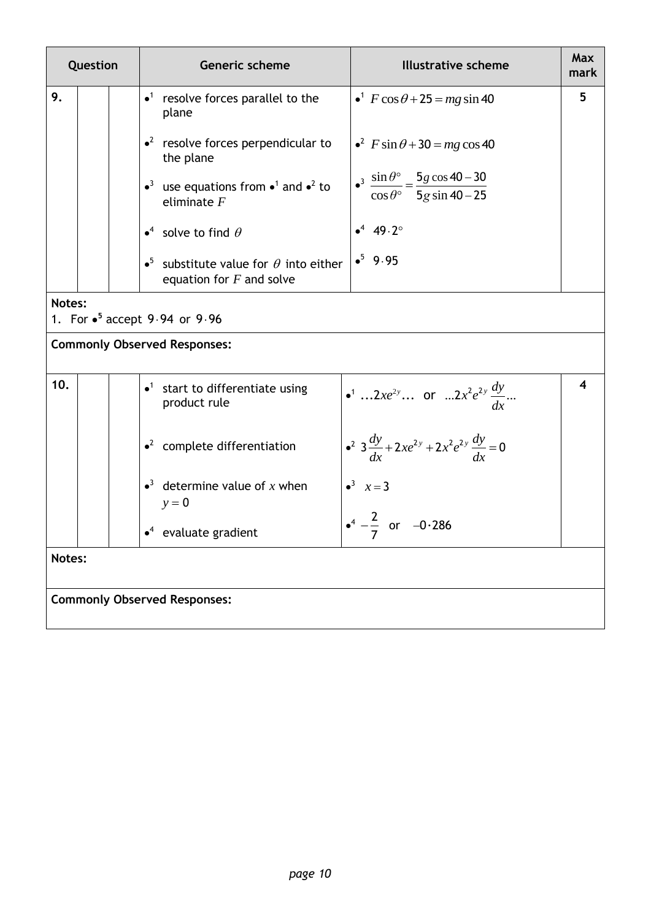| Question |                                     |  | <b>Illustrative scheme</b><br>Generic scheme                                                                                                                                                    | <b>Max</b><br>mark      |  |  |  |  |
|----------|-------------------------------------|--|-------------------------------------------------------------------------------------------------------------------------------------------------------------------------------------------------|-------------------------|--|--|--|--|
| 9.       |                                     |  | $\bullet$ <sup>1</sup> resolve forces parallel to the<br>$\cdot$ <sup>1</sup> $F \cos \theta$ + 25 = mg sin 40<br>plane                                                                         | 5                       |  |  |  |  |
|          |                                     |  | $\cdot^2$ resolve forces perpendicular to<br>$\epsilon^2$ F sin $\theta$ + 30 = mg cos 40<br>the plane                                                                                          |                         |  |  |  |  |
|          |                                     |  | $\frac{\sin \theta^{\circ}}{\cos \theta^{\circ}} = \frac{5g \cos 40 - 30}{5g \sin 40 - 25}$<br>• <sup>3</sup> use equations from • <sup>1</sup> and • <sup>2</sup> to<br>eliminate $F$          |                         |  |  |  |  |
|          |                                     |  | $•4$ 49.2°<br>• <sup>4</sup> solve to find $\theta$                                                                                                                                             |                         |  |  |  |  |
|          |                                     |  | $•5$ 9.95<br>• <sup>5</sup> substitute value for $\theta$ into either<br>equation for $F$ and solve                                                                                             |                         |  |  |  |  |
| Notes:   |                                     |  | 1. For $\bullet^5$ accept 9.94 or 9.96                                                                                                                                                          |                         |  |  |  |  |
|          |                                     |  | <b>Commonly Observed Responses:</b>                                                                                                                                                             |                         |  |  |  |  |
| 10.      |                                     |  | $\bullet$ <sup>1</sup> start to differentiate using<br>• <sup>1</sup> 2 <i>xe</i> <sup>2<i>y</i></sup> or 2 <i>x</i> <sup>2</sup> <i>e</i> <sup>2<i>y</i></sup> $\frac{dy}{dx}$<br>product rule | $\overline{\mathbf{4}}$ |  |  |  |  |
|          |                                     |  | • <sup>2</sup> $3\frac{dy}{dx} + 2xe^{2y} + 2x^2e^{2y}\frac{dy}{dx} = 0$<br>$\cdot^2$ complete differentiation                                                                                  |                         |  |  |  |  |
|          |                                     |  | $\bullet^3$ determine value of x when<br>$\bullet^3$ $x=3$<br>$y = 0$                                                                                                                           |                         |  |  |  |  |
|          |                                     |  | $4 - \frac{2}{ }$ or $-0.286$<br>$\bullet^4$ evaluate gradient                                                                                                                                  |                         |  |  |  |  |
| Notes:   |                                     |  |                                                                                                                                                                                                 |                         |  |  |  |  |
|          | <b>Commonly Observed Responses:</b> |  |                                                                                                                                                                                                 |                         |  |  |  |  |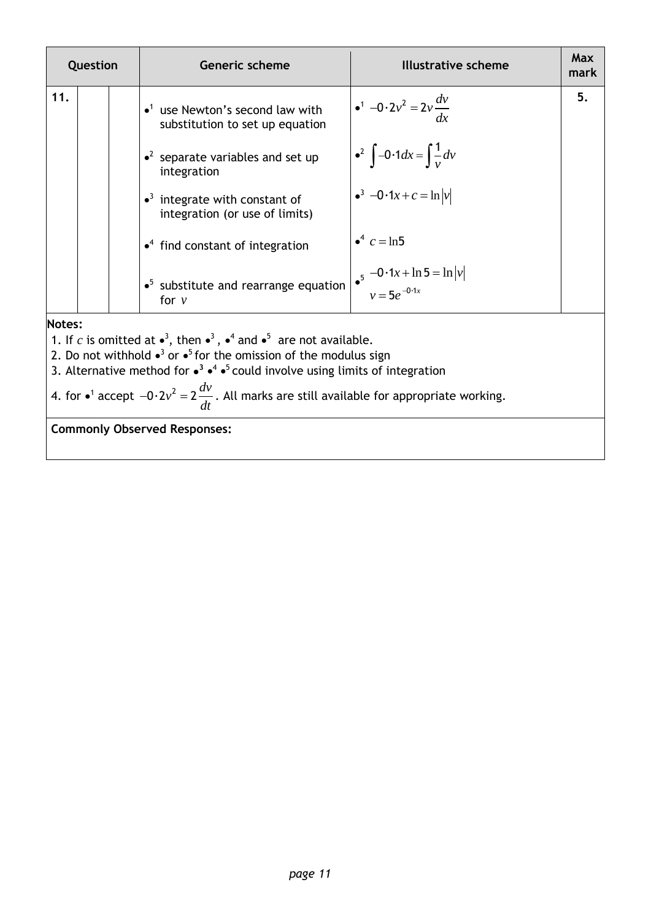| Question |                                                                                                               | <b>Generic scheme</b>                                                                                 | <b>Illustrative scheme</b>                                                                  | Max<br>mark |  |  |
|----------|---------------------------------------------------------------------------------------------------------------|-------------------------------------------------------------------------------------------------------|---------------------------------------------------------------------------------------------|-------------|--|--|
| 11.      |                                                                                                               | $\bullet$ <sup>1</sup> use Newton's second law with<br>substitution to set up equation                | $\bullet^1$ -0.2 $v^2$ = 2 $v \frac{dv}{dx}$                                                | 5.          |  |  |
|          |                                                                                                               | $\cdot^2$ separate variables and set up<br>integration                                                | • <sup>2</sup> $\int -0.1 dx = \int \frac{1}{v} dv$<br>• <sup>3</sup> $-0.1x + c = \ln  v $ |             |  |  |
|          |                                                                                                               | $\bullet$ <sup>3</sup> integrate with constant of<br>integration (or use of limits)                   |                                                                                             |             |  |  |
|          |                                                                                                               | $\bullet$ <sup>4</sup> find constant of integration                                                   | • <sup>4</sup> $c = \ln 5$                                                                  |             |  |  |
|          |                                                                                                               | $\bullet^5$ substitute and rearrange equation<br>for $\nu$                                            | $\int_0^5 -0.1x + \ln 5 = \ln  v $<br>$v = 5e^{-0.1x}$                                      |             |  |  |
| Notes:   |                                                                                                               |                                                                                                       |                                                                                             |             |  |  |
|          |                                                                                                               | 1. If c is omitted at $\bullet^3$ , then $\bullet^3$ , $\bullet^4$ and $\bullet^5$ are not available. |                                                                                             |             |  |  |
|          |                                                                                                               | 2. Do not withhold $\bullet^3$ or $\bullet^5$ for the omission of the modulus sign                    |                                                                                             |             |  |  |
|          |                                                                                                               | 3. Alternative method for $\cdot^3 \cdot^4 \cdot^5$ could involve using limits of integration         |                                                                                             |             |  |  |
|          | 4. for $\bullet^1$ accept $-0.2v^2 = 2\frac{dv}{dt}$ . All marks are still available for appropriate working. |                                                                                                       |                                                                                             |             |  |  |
|          |                                                                                                               | <b>Commonly Observed Responses:</b>                                                                   |                                                                                             |             |  |  |
|          |                                                                                                               |                                                                                                       |                                                                                             |             |  |  |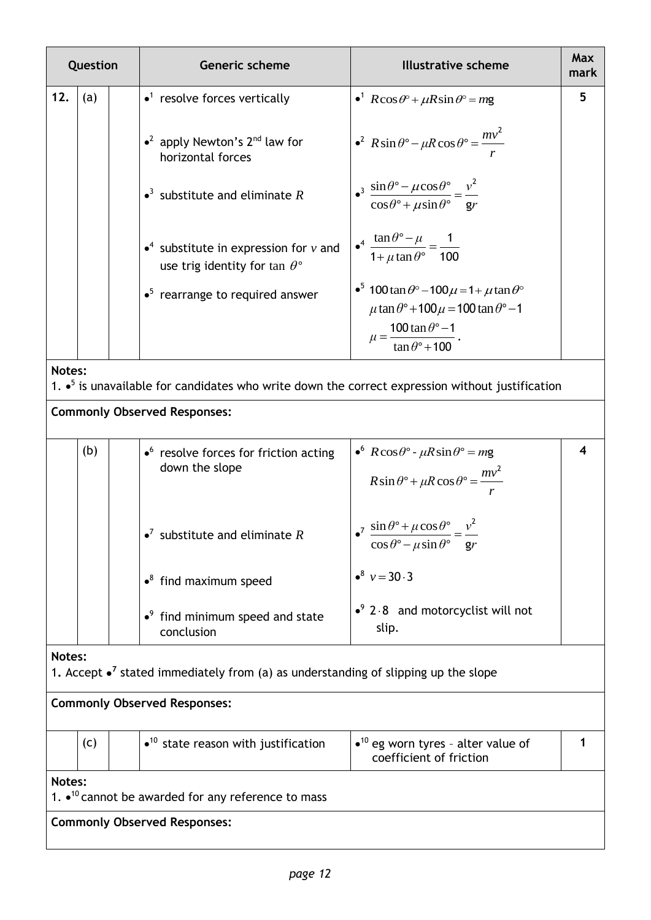| Question |     | Generic scheme                                                                              | <b>Illustrative scheme</b>                                                                                                | <b>Max</b><br>mark |
|----------|-----|---------------------------------------------------------------------------------------------|---------------------------------------------------------------------------------------------------------------------------|--------------------|
| 12.      | (a) | $\bullet$ <sup>1</sup> resolve forces vertically                                            | • $R\cos\theta$ <sup>o</sup> + $\mu R\sin\theta$ <sup>o</sup> = mg                                                        | 5                  |
|          |     | • <sup>2</sup> apply Newton's $2^{nd}$ law for<br>horizontal forces                         | $\cdot^2$ R sin $\theta^{\circ}$ - $\mu$ R cos $\theta^{\circ}$ = $\frac{mv^2}{m}$                                        |                    |
|          |     | $\bullet$ <sup>3</sup> substitute and eliminate R                                           | $\bullet^3 \frac{\sin \theta^\circ - \mu \cos \theta^\circ}{\cos \theta^\circ + \mu \sin \theta^\circ} = \frac{v^2}{g r}$ |                    |
|          |     | $\bullet^4$ substitute in expression for v and<br>use trig identity for tan $\theta$ °      | $\bullet^4 \frac{\tan \theta^\circ - \mu}{1 + \mu \tan \theta^\circ} = \frac{1}{100}$                                     |                    |
|          |     | $\bullet^5$ rearrange to required answer                                                    | $\cdot$ <sup>5</sup> 100 tan $\theta$ ° – 100 $\mu$ = 1+ $\mu$ tan $\theta$ °                                             |                    |
|          |     |                                                                                             | $\mu$ tan $\theta$ ° + 100 $\mu$ = 100 tan $\theta$ ° - 1                                                                 |                    |
|          |     |                                                                                             | $\mu = \frac{100 \tan \theta^{\circ} - 1}{\tan \theta^{\circ} + 100}$                                                     |                    |
| Notes:   |     |                                                                                             | 1. $\bullet^5$ is unavailable for candidates who write down the correct expression without justification                  |                    |
|          |     | <b>Commonly Observed Responses:</b>                                                         |                                                                                                                           |                    |
|          | (b) | $\bullet$ resolve forces for friction acting<br>down the slope                              | • $R\cos\theta$ ° - $\mu R\sin\theta$ ° = mg<br>$R\sin\theta$ ° + $\mu R\cos\theta$ ° = $\frac{mv^2}{m}$                  | 4                  |
|          |     | $\bullet^7$ substitute and eliminate R                                                      | $\int$ sin $\theta$ ° + $\mu$ cos $\theta$ ° $v^2$<br>$\cos\theta$ ° – $\mu\sin\theta$ ° gr                               |                    |
|          |     | $\cdot^8$ find maximum speed                                                                | $\bullet^8 \nu = 30.3$                                                                                                    |                    |
|          |     | $\bullet$ <sup>9</sup> find minimum speed and state<br>conclusion                           | $\cdot$ <sup>9</sup> 2.8 and motorcyclist will not<br>slip.                                                               |                    |
| Notes:   |     | 1. Accept $\bullet^7$ stated immediately from (a) as understanding of slipping up the slope |                                                                                                                           |                    |
|          |     | <b>Commonly Observed Responses:</b>                                                         |                                                                                                                           |                    |
|          | (c) | $\bullet$ <sup>10</sup> state reason with justification                                     | $\bullet$ <sup>10</sup> eg worn tyres - alter value of<br>coefficient of friction                                         | 1                  |
| Notes:   |     |                                                                                             |                                                                                                                           |                    |
|          |     | 1. $\bullet$ <sup>10</sup> cannot be awarded for any reference to mass                      |                                                                                                                           |                    |
|          |     | <b>Commonly Observed Responses:</b>                                                         |                                                                                                                           |                    |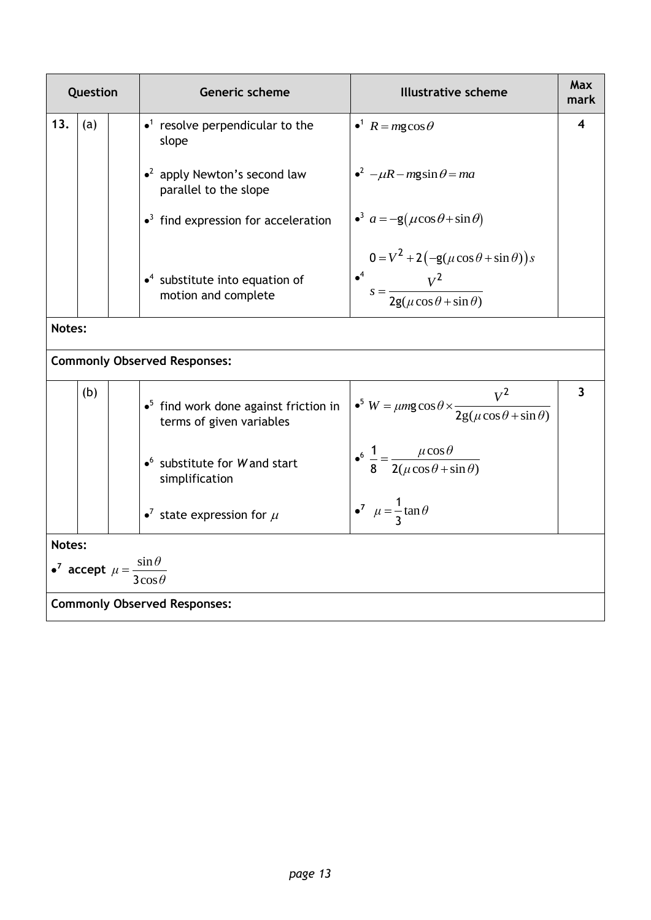|        | Question                                                        | Generic scheme                                                             | <b>Illustrative scheme</b>                                                                                        | Max<br>mark             |
|--------|-----------------------------------------------------------------|----------------------------------------------------------------------------|-------------------------------------------------------------------------------------------------------------------|-------------------------|
| 13.    | (a)                                                             | $\bullet$ <sup>1</sup> resolve perpendicular to the<br>slope               | $\bullet^1$ $R = mg \cos \theta$                                                                                  | 4                       |
|        |                                                                 | $\cdot^2$ apply Newton's second law<br>parallel to the slope               | $\bullet^2$ – $\mu$ R – mgsin $\theta$ = ma                                                                       |                         |
|        |                                                                 | $\bullet$ <sup>3</sup> find expression for acceleration                    | $a^3$ $a = -g(\mu \cos \theta + \sin \theta)$                                                                     |                         |
|        |                                                                 | $\bullet^4$ substitute into equation of<br>motion and complete             | $0 = V^2 + 2(-g(\mu \cos \theta + \sin \theta))s$<br>$s^4$<br>$s = \frac{V^2}{2g(\mu \cos \theta + \sin \theta)}$ |                         |
| Notes: |                                                                 |                                                                            |                                                                                                                   |                         |
|        |                                                                 | <b>Commonly Observed Responses:</b>                                        |                                                                                                                   |                         |
|        | (b)                                                             | $\bullet^5$ find work done against friction in<br>terms of given variables | • <sup>5</sup> $W = \mu mg \cos \theta \times \frac{V^2}{2g(\mu \cos \theta + \sin \theta)}$                      | $\overline{\mathbf{3}}$ |
|        |                                                                 | $\bullet$ substitute for W and start<br>simplification                     | $\bullet^6 \frac{1}{8} = \frac{\mu \cos \theta}{2(\mu \cos \theta + \sin \theta)}$                                |                         |
|        |                                                                 | • <sup>7</sup> state expression for $\mu$                                  | $\bullet^7$ $\mu = \frac{1}{2} \tan \theta$                                                                       |                         |
| Notes: |                                                                 |                                                                            |                                                                                                                   |                         |
|        | • <sup>7</sup> accept $\mu = \frac{\sin \theta}{3 \cos \theta}$ |                                                                            |                                                                                                                   |                         |
|        |                                                                 | <b>Commonly Observed Responses:</b>                                        |                                                                                                                   |                         |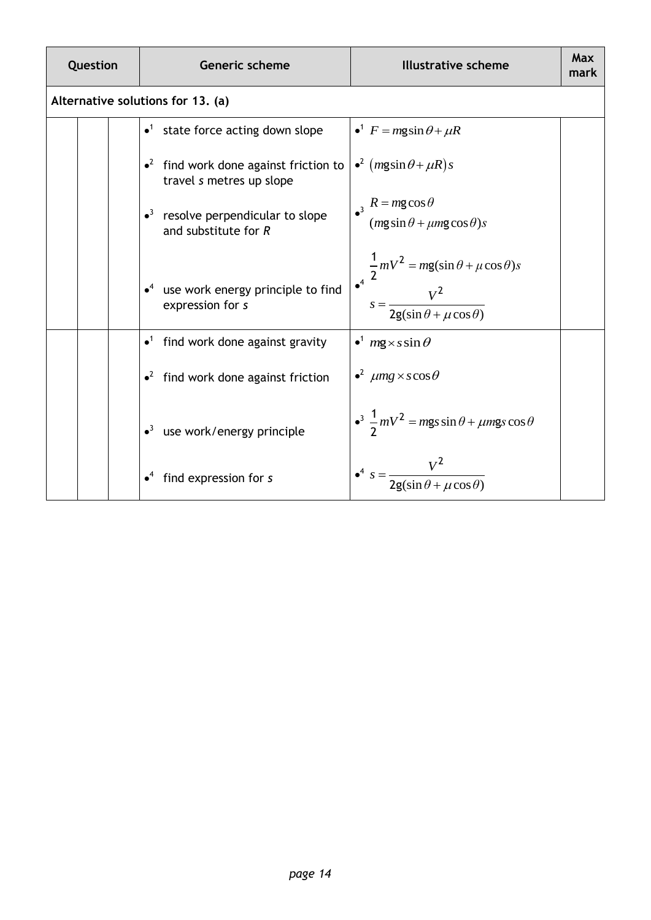| Question                          |  | Generic scheme                                                                                                                      | <b>Illustrative scheme</b>                                                                              | Max<br>mark |
|-----------------------------------|--|-------------------------------------------------------------------------------------------------------------------------------------|---------------------------------------------------------------------------------------------------------|-------------|
| Alternative solutions for 13. (a) |  |                                                                                                                                     |                                                                                                         |             |
|                                   |  | $\bullet$ <sup>1</sup> state force acting down slope                                                                                | $\bullet^1$ F = mgsin $\theta$ + $\mu$ R                                                                |             |
|                                   |  | • <sup>2</sup> find work done against friction to $\int$ • <sup>2</sup> ( $m$ gsin $\theta$ + $\mu$ R)s<br>travel s metres up slope |                                                                                                         |             |
|                                   |  | $\bullet$ <sup>3</sup> resolve perpendicular to slope<br>and substitute for $R$                                                     | $R = mg \cos \theta$<br>$(mg\sin\theta + \mu mg\cos\theta)s$                                            |             |
|                                   |  | $\bullet^4$ use work energy principle to find<br>expression for s                                                                   | $\frac{1}{2}mV^2 = mg(\sin\theta + \mu\cos\theta)s$<br>$s = \frac{V^2}{2g(\sin\theta + \mu\cos\theta)}$ |             |
|                                   |  | $\bullet$ <sup>1</sup> find work done against gravity                                                                               | $\cdot^1$ mg $\times$ s sin $\theta$                                                                    |             |
|                                   |  | $\cdot^2$ find work done against friction                                                                                           | $\cdot^2$ $\mu$ mg $\times$ scos $\theta$                                                               |             |
|                                   |  | $\bullet$ <sup>3</sup> use work/energy principle                                                                                    | $\cdot^3 \frac{1}{2} mV^2 = mgs \sin \theta + \mu mgs \cos \theta$                                      |             |
|                                   |  | find expression for s                                                                                                               | $\bullet^4 s = \frac{V^2}{2g(\sin\theta + \mu\cos\theta)}$                                              |             |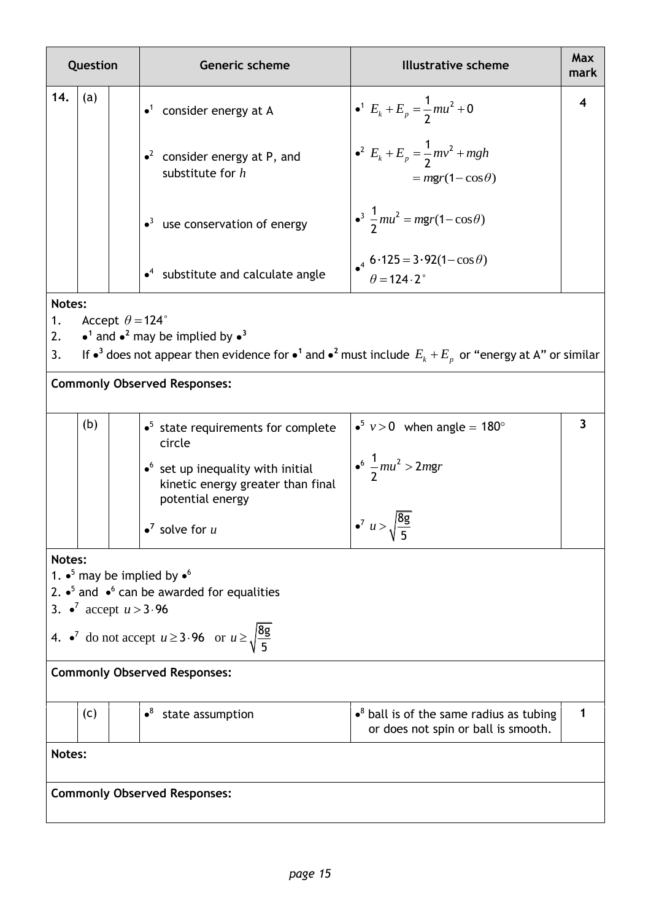| Question       |                                                                                                                                                                                                                                                                                         |  | Generic scheme                                                                                                                                                                                     | <b>Illustrative scheme</b>                                                                                  | Max<br>mark |  |  |
|----------------|-----------------------------------------------------------------------------------------------------------------------------------------------------------------------------------------------------------------------------------------------------------------------------------------|--|----------------------------------------------------------------------------------------------------------------------------------------------------------------------------------------------------|-------------------------------------------------------------------------------------------------------------|-------------|--|--|
| 14.            | (a)                                                                                                                                                                                                                                                                                     |  | $\bullet$ <sup>1</sup> consider energy at A                                                                                                                                                        | • <sup>1</sup> $E_k + E_p = \frac{1}{2} m u^2 + 0$                                                          |             |  |  |
|                |                                                                                                                                                                                                                                                                                         |  | • <sup>2</sup> consider energy at P, and<br>substitute for $h$                                                                                                                                     | • <sup>2</sup> $E_k + E_p = \frac{1}{2}mv^2 + mgh$<br>$=$ mgr(1 – cos $\theta$ )                            |             |  |  |
|                |                                                                                                                                                                                                                                                                                         |  | $\bullet$ <sup>3</sup> use conservation of energy                                                                                                                                                  | $\frac{3}{2}mu^2 = mgr(1-\cos\theta)$                                                                       |             |  |  |
|                |                                                                                                                                                                                                                                                                                         |  | $\bullet$ <sup>4</sup> substitute and calculate angle                                                                                                                                              | $\bullet^4$ 6.125 = 3.92(1–cos $\theta$ )<br>$\theta$ = 124.2°                                              |             |  |  |
| 1.<br>2.<br>3. | Notes:<br>Accept $\theta = 124^\circ$<br>• <sup>1</sup> and • <sup>2</sup> may be implied by • <sup>3</sup><br>If $\bullet^3$ does not appear then evidence for $\bullet^1$ and $\bullet^2$ must include $E_k + E_p$ or "energy at A" or similar<br><b>Commonly Observed Responses:</b> |  |                                                                                                                                                                                                    |                                                                                                             |             |  |  |
|                | (b)                                                                                                                                                                                                                                                                                     |  | $\bullet^5$ state requirements for complete<br>circle<br>$\bullet$ <sup>6</sup> set up inequality with initial<br>kinetic energy greater than final<br>potential energy<br>$\bullet^7$ solve for u | • <sup>5</sup> $v > 0$ when angle = 180°<br>$\frac{1}{2}mu^2 > 2mgr$<br>$\bullet^7 u > \sqrt{\frac{8g}{r}}$ | 3           |  |  |
|                | Notes:<br>1. $\bullet^5$ may be implied by $\bullet^6$<br>2. $\bullet^5$ and $\bullet^6$ can be awarded for equalities<br>3. $\bullet^7$ accept $u > 3.96$<br>4. $\bullet^7$ do not accept $u \ge 3.96$ or $u \ge \sqrt{\frac{8g}{5}}$                                                  |  |                                                                                                                                                                                                    |                                                                                                             |             |  |  |
|                |                                                                                                                                                                                                                                                                                         |  | <b>Commonly Observed Responses:</b>                                                                                                                                                                |                                                                                                             |             |  |  |
|                | (c)                                                                                                                                                                                                                                                                                     |  | $\bullet^8$ state assumption                                                                                                                                                                       | $\bullet^8$ ball is of the same radius as tubing<br>or does not spin or ball is smooth.                     |             |  |  |
| Notes:         |                                                                                                                                                                                                                                                                                         |  |                                                                                                                                                                                                    |                                                                                                             |             |  |  |
|                | <b>Commonly Observed Responses:</b>                                                                                                                                                                                                                                                     |  |                                                                                                                                                                                                    |                                                                                                             |             |  |  |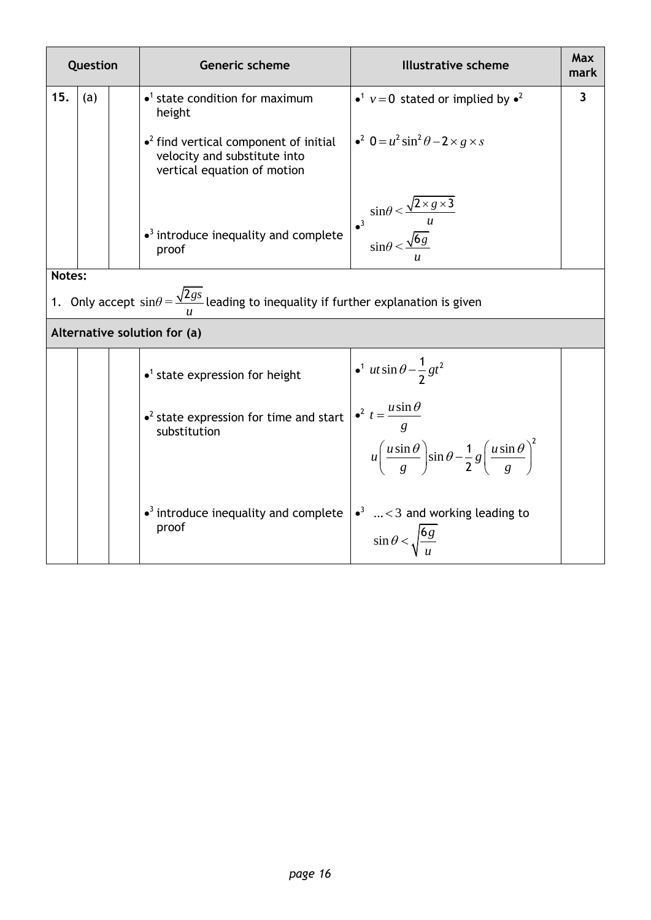|        | Question |  | <b>Generic scheme</b>                                                                                         | <b>Illustrative scheme</b>                                                                                                                    | Max<br>mark             |
|--------|----------|--|---------------------------------------------------------------------------------------------------------------|-----------------------------------------------------------------------------------------------------------------------------------------------|-------------------------|
| 15.    | (a)      |  | $\bullet$ <sup>1</sup> state condition for maximum<br>height                                                  | • <sup>1</sup> $v = 0$ stated or implied by • <sup>2</sup>                                                                                    | $\overline{\mathbf{3}}$ |
|        |          |  | $\bullet^2$ find vertical component of initial<br>velocity and substitute into<br>vertical equation of motion | $\bullet^2$ 0 = $u^2$ sin <sup>2</sup> $\theta$ – 2 × g × s                                                                                   |                         |
|        |          |  | $\bullet$ <sup>3</sup> introduce inequality and complete<br>proof                                             | $\sin\theta < \frac{\sqrt{2 \times g \times 3}}{u}$<br>$\sin\theta < \frac{\sqrt{6g}}{u}$                                                     |                         |
| Notes: |          |  |                                                                                                               |                                                                                                                                               |                         |
|        |          |  | 1. Only accept $sin\theta = \frac{\sqrt{2gs}}{2}$ leading to inequality if further explanation is given       |                                                                                                                                               |                         |
|        |          |  | Alternative solution for (a)                                                                                  |                                                                                                                                               |                         |
|        |          |  | $\bullet$ <sup>1</sup> state expression for height                                                            | $\cdot$ <sup>1</sup> ut $\sin \theta - \frac{1}{2}gt^2$                                                                                       |                         |
|        |          |  | $\bullet^2$ state expression for time and start  <br>substitution                                             | $\bullet^2$ $t = \frac{u \sin \theta}{ }$<br>$u\left(\frac{u\sin\theta}{g}\right)\sin\theta-\frac{1}{2}g\left(\frac{u\sin\theta}{g}\right)^2$ |                         |
|        |          |  | $\bullet$ <sup>3</sup> introduce inequality and complete<br>proof                                             | $\bullet^3$ < 3 and working leading to<br>$\sin \theta < \sqrt{\frac{6g}{g}}$                                                                 |                         |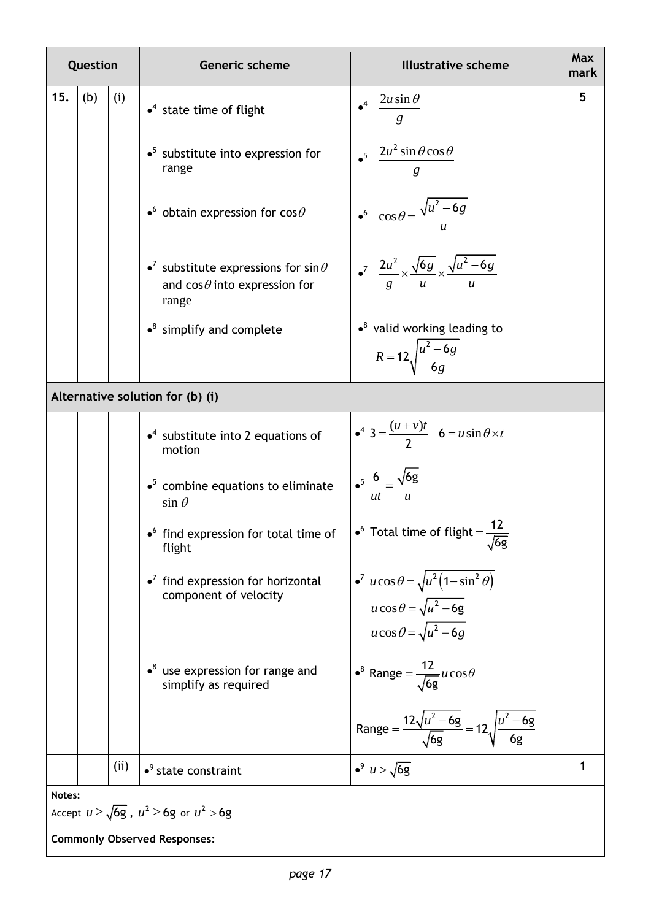| Question |                                                                 |     | Generic scheme                                                                                         | <b>Illustrative scheme</b>                                                                                           | Max<br>mark |  |  |  |  |
|----------|-----------------------------------------------------------------|-----|--------------------------------------------------------------------------------------------------------|----------------------------------------------------------------------------------------------------------------------|-------------|--|--|--|--|
| 15.      | (b)                                                             | (i) | $\bullet^4$ state time of flight                                                                       | $2u \sin \theta$<br>g                                                                                                | 5           |  |  |  |  |
|          |                                                                 |     | $\bullet^5$ substitute into expression for<br>range                                                    | $\cdot$ <sup>5</sup> $\frac{2u^2 \sin \theta \cos \theta}{g}$                                                        |             |  |  |  |  |
|          |                                                                 |     | $\bullet^6$ obtain expression for cos $\theta$                                                         | $\int_0^6 \cos \theta = \frac{\sqrt{u^2 - 6g}}{u}$                                                                   |             |  |  |  |  |
|          |                                                                 |     | • <sup>7</sup> substitute expressions for sin $\theta$<br>and $cos\theta$ into expression for<br>range | $\int_0^7 \frac{2u^2}{g} \times \frac{\sqrt{6g}}{u} \times \frac{\sqrt{u^2-6g}}{u}$                                  |             |  |  |  |  |
|          |                                                                 |     | $\cdot$ <sup>8</sup> simplify and complete                                                             | $\bullet^8$ valid working leading to<br>$R = 12 \sqrt{\frac{u^2 - 6g}{6g}}$                                          |             |  |  |  |  |
|          | Alternative solution for (b) (i)                                |     |                                                                                                        |                                                                                                                      |             |  |  |  |  |
|          |                                                                 |     | $\bullet$ <sup>4</sup> substitute into 2 equations of<br>motion                                        | $4^4$ 3 = $\frac{(u+v)t}{2}$ 6 = $u \sin \theta \times t$                                                            |             |  |  |  |  |
|          |                                                                 |     | $\bullet^5$ combine equations to eliminate<br>$\sin \theta$                                            | $\frac{6}{ut}$ = $\frac{\sqrt{6g}}{u}$                                                                               |             |  |  |  |  |
|          |                                                                 |     | • find expression for total time of $\int e^6$ Total time of flight = $\frac{12}{\sqrt{6g}}$<br>flight |                                                                                                                      |             |  |  |  |  |
|          |                                                                 |     | $\bullet^7$ find expression for horizontal<br>component of velocity                                    | $u \cos \theta = \sqrt{u^2 (1 - \sin^2 \theta)}$<br>$u\cos\theta = \sqrt{u^2 - 6g}$<br>$u\cos\theta = \sqrt{u^2-6g}$ |             |  |  |  |  |
|          |                                                                 |     | $\cdot$ <sup>8</sup> use expression for range and<br>simplify as required                              | • <sup>8</sup> Range = $\frac{12}{\sqrt{6g}}u\cos\theta$                                                             |             |  |  |  |  |
|          |                                                                 |     |                                                                                                        | Range = $\frac{12\sqrt{u^2-6g}}{\sqrt{6g}}$ = $12\sqrt{\frac{u^2-6g}{6g}}$                                           |             |  |  |  |  |
|          |                                                                 | (i) | $\bullet$ <sup>9</sup> state constraint                                                                | • <sup>9</sup> $u > \sqrt{6g}$                                                                                       | 1           |  |  |  |  |
|          | Notes:<br>Accept $u \ge \sqrt{6g}$ , $u^2 \ge 6g$ or $u^2 > 6g$ |     |                                                                                                        |                                                                                                                      |             |  |  |  |  |

**Commonly Observed Responses:**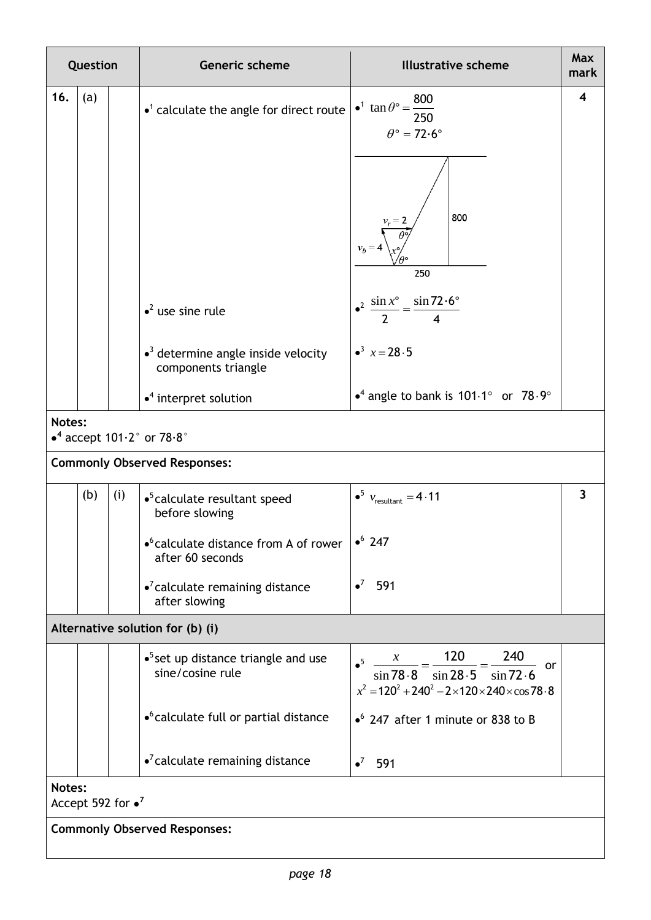| Question                             |                                                              |     | Generic scheme                                                                | <b>Illustrative scheme</b>                                                                                                                                  | Max<br>mark |  |  |  |  |
|--------------------------------------|--------------------------------------------------------------|-----|-------------------------------------------------------------------------------|-------------------------------------------------------------------------------------------------------------------------------------------------------------|-------------|--|--|--|--|
| 16.                                  | (a)                                                          |     | $\bullet$ <sup>1</sup> calculate the angle for direct route                   | • <sup>1</sup> $\tan \theta$ ° = $\frac{800}{ }$<br>250<br>$\theta$ ° = 72.6°<br>800<br>$v_b = 4$<br>250                                                    | 4           |  |  |  |  |
|                                      |                                                              |     | $\bullet^2$ use sine rule                                                     | $\bullet^2 \frac{\sin x^{\circ}}{2} = \frac{\sin 72.6^{\circ}}{4}$                                                                                          |             |  |  |  |  |
|                                      |                                                              |     | $\bullet$ <sup>3</sup> determine angle inside velocity<br>components triangle | $\bullet^3$ $x = 28.5$                                                                                                                                      |             |  |  |  |  |
|                                      |                                                              |     | $\bullet$ <sup>4</sup> interpret solution                                     | • <sup>4</sup> angle to bank is $101.1^\circ$ or $78.9^\circ$                                                                                               |             |  |  |  |  |
|                                      | Notes:<br>$\bullet^4$ accept 101 $\cdot$ 2° or 78 $\cdot$ 8° |     |                                                                               |                                                                                                                                                             |             |  |  |  |  |
|                                      | <b>Commonly Observed Responses:</b>                          |     |                                                                               |                                                                                                                                                             |             |  |  |  |  |
|                                      | (b)                                                          | (i) | $\bullet$ <sup>5</sup> calculate resultant speed<br>before slowing            | $\bullet^5$ $v_{\text{resultant}} = 4.11$                                                                                                                   | 3           |  |  |  |  |
|                                      |                                                              |     | • <sup>6</sup> calculate distance from A of rower<br>after 60 seconds         | $\bullet^6$ 247                                                                                                                                             |             |  |  |  |  |
|                                      |                                                              |     | $\bullet^7$ calculate remaining distance<br>after slowing                     | $\bullet^7$<br>591                                                                                                                                          |             |  |  |  |  |
|                                      | Alternative solution for (b) (i)                             |     |                                                                               |                                                                                                                                                             |             |  |  |  |  |
|                                      |                                                              |     | $\bullet$ <sup>5</sup> set up distance triangle and use<br>sine/cosine rule   | • <sup>5</sup> $\frac{x}{\sin 78.8} = \frac{120}{\sin 28.5} = \frac{240}{\sin 72.6}$ or<br>$x^2 = 120^2 + 240^2 - 2 \times 120 \times 240 \times \cos 78.8$ |             |  |  |  |  |
|                                      |                                                              |     | • <sup>6</sup> calculate full or partial distance                             | $\bullet$ <sup>6</sup> 247 after 1 minute or 838 to B                                                                                                       |             |  |  |  |  |
|                                      |                                                              |     | $\bullet$ <sup>7</sup> calculate remaining distance                           | $\bullet^7$<br>591                                                                                                                                          |             |  |  |  |  |
| Notes:<br>Accept 592 for $\bullet^7$ |                                                              |     |                                                                               |                                                                                                                                                             |             |  |  |  |  |
| <b>Commonly Observed Responses:</b>  |                                                              |     |                                                                               |                                                                                                                                                             |             |  |  |  |  |